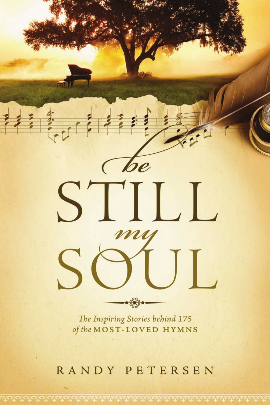

The Inspiring Stories behind 175 of the MOST-LOVED HYMNS

## RANDY PETERSEN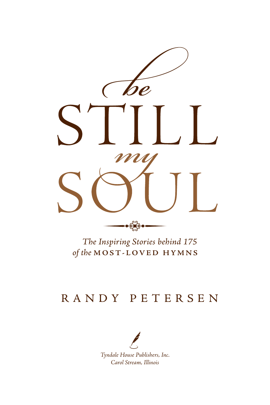

*The Inspiring Stories behind 175 of the* **MOST-LOVED HYMNS**

### RANDY PETERSEN

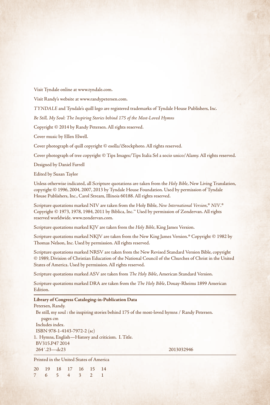Visit Tyndale online at www.tyndale.com.

Visit Randy's website at www.randypetersen.com.

*TYNDALE* and Tyndale's quill logo are registered trademarks of Tyndale House Publishers, Inc.

*Be Still, My Soul: The Inspiring Stories behind 175 of the Most-Loved Hymns*

Copyright © 2014 by Randy Petersen. All rights reserved.

Cover music by Ellen Elwell.

Cover photograph of quill copyright © esolla/iStockphoto. All rights reserved.

Cover photograph of tree copyright © Tips Images/Tips Italia Srl a socio unico/Alamy. All rights reserved.

Designed by Daniel Farrell

Edited by Susan Taylor

Unless otherwise indicated, all Scripture quotations are taken from the *Holy Bible*, New Living Translation, copyright © 1996, 2004, 2007, 2013 by Tyndale House Foundation. Used by permission of Tyndale House Publishers, Inc., Carol Stream, Illinois 60188. All rights reserved.

Scripture quotations marked NIV are taken from the Holy Bible, *New International Version*, ® *NIV*. ® Copyright © 1973, 1978, 1984, 2011 by Biblica, Inc.™ Used by permission of Zondervan. All rights reserved worldwide. www.zondervan.com.

Scripture quotations marked KJV are taken from the *Holy Bible*, King James Version.

Scripture quotations marked NKJV are taken from the New King James Version.® Copyright © 1982 by Thomas Nelson, Inc. Used by permission. All rights reserved.

Scripture quotations marked NRSV are taken from the New Revised Standard Version Bible, copyright © 1989, Division of Christian Education of the National Council of the Churches of Christ in the United States of America. Used by permission. All rights reserved.

Scripture quotations marked ASV are taken from *The Holy Bible*, American Standard Version.

Scripture quotations marked DRA are taken from the *The Holy Bible*, Douay-Rheims 1899 American Edition.

#### **Library of Congress Cataloging-in-Publication Data**

Petersen, Randy. Be still, my soul : the inspiring stories behind 175 of the most-loved hymns / Randy Petersen. pages cm Includes index. ISBN 978-1-4143-7972-2 (sc) 1. Hymns, English—History and criticism. I. Title. BV315.P47 2014 264´.23—dc23 2013032946

Printed in the United States of America

20 19 18 17 16 15 14 7 6 5 4 3 2 1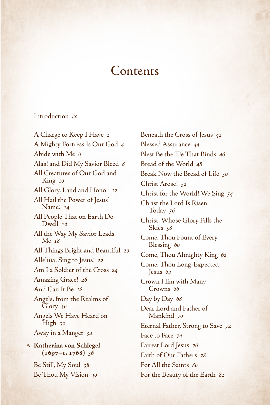### **Contents**

#### [Introduction](#page-7-0) *ix*

[A Charge to Keep I Have](#page-9-0) *2* [A Mighty Fortress Is Our God](#page-11-0) *4* [Abide with Me](#page-13-0) *6* [Alas! and Did My Savior Bleed](#page-15-0) *8* [All Creatures of Our God and](#page-17-0)  [King](#page-17-0) *10* [All Glory, Laud and Honor](#page-19-0) *12* [All Hail the Power of Jesus'](#page-21-0)  [Name!](#page-21-0) *14* [All People That on Earth Do](#page-23-0)  [Dwell](#page-23-0) *16* [All the Way My Savior Leads](#page-25-0)  [Me](#page-25-0) *18* [All Things Bright and Beautiful](#page-27-0) *20* Alleluia, Sing to Jesus! *22* Am I a Soldier of the Cross *24* Amazing Grace! *26* And Can It Be *28* Angels, from the Realms of Glory *30* Angels We Have Heard on High *32* Away in a Manger *34* **Katherina von Schlegel (1697–c. 1768)** *36*

Be Still, My Soul *38* Be Thou My Vision *40* Beneath the Cross of Jesus *42* Blessed Assurance *44* Blest Be the Tie That Binds *46* Bread of the World *48* Break Now the Bread of Life *50* Christ Arose! *52* Christ for the World! We Sing *54* Christ the Lord Is Risen Today *56* Christ, Whose Glory Fills the Skies *58* Come, Thou Fount of Every Blessing *60* Come, Thou Almighty King *62* Come, Thou Long-Expected Jesus *64* Crown Him with Many Crowns *66* Day by Day *68* Dear Lord and Father of Mankind *70* Eternal Father, Strong to Save *72* Face to Face *74* Fairest Lord Jesus *76* Faith of Our Fathers *78* For All the Saints *80* For the Beauty of the Earth *82*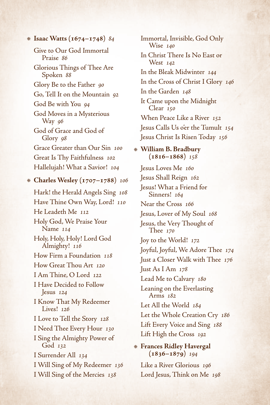**Isaac Watts (1674–1748)** *84*

Give to Our God Immortal Praise *86*

Glorious Things of Thee Are Spoken *88*

Glory Be to the Father *90*

Go, Tell It on the Mountain *92*

God Be with You *94*

God Moves in a Mysterious Way *96*

God of Grace and God of Glory *98*

Grace Greater than Our Sin *100* Great Is Thy Faithfulness *102* Hallelujah! What a Savior! *104*

**Charles Wesley (1707–1788)** *106*

Hark! the Herald Angels Sing *108* Have Thine Own Way, Lord! *110* He Leadeth Me *112* Holy God, We Praise Your Name *114* Holy, Holy, Holy! Lord God Almighty! *116* How Firm a Foundation *118* How Great Thou Art *120* I Am Thine, O Lord *122* I Have Decided to Follow Jesus *124* I Know That My Redeemer Lives! *126* I Love to Tell the Story *128* I Need Thee Every Hour *130* I Sing the Almighty Power of God *132* I Surrender All *134* I Will Sing of My Redeemer *136* I Will Sing of the Mercies *138*

Immortal, Invisible, God Only Wise *140* In Christ There Is No East or West *142* In the Bleak Midwinter *144* In the Cross of Christ I Glory *146* In the Garden *148* It Came upon the Midnight Clear *150* When Peace Like a River *152* Jesus Calls Us o'er the Tumult *154* Jesus Christ Is Risen Today *156* **William B. Bradbury** 

**(1816–1868)** *158*

Jesus Loves Me *160* Jesus Shall Reign *162* Jesus! What a Friend for Sinners! *164* Near the Cross *166* Jesus, Lover of My Soul *168* Jesus, the Very Thought of Thee *170* Joy to the World! *172* Joyful, Joyful, We Adore Thee *174* Just a Closer Walk with Thee *176* Just As I Am *178* Lead Me to Calvary *180* Leaning on the Everlasting Arms *182* Let All the World *184* Let the Whole Creation Cry *186* Lift Every Voice and Sing *188* Lift High the Cross *192*

**Frances Ridley Havergal (1836–1879)** *194*

Like a River Glorious *196* Lord Jesus, Think on Me *198*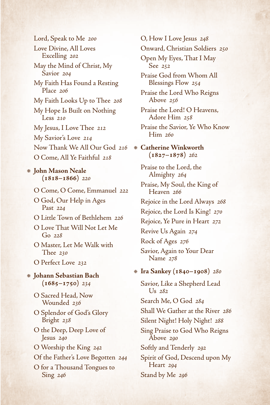Lord, Speak to Me *200* Love Divine, All Loves Excelling *202* May the Mind of Christ, My Savior *204* My Faith Has Found a Resting Place *206* My Faith Looks Up to Thee *208* My Hope Is Built on Nothing Less *210* My Jesus, I Love Thee *212* My Savior's Love *214* Now Thank We All Our God *216* O Come, All Ye Faithful *218* **John Mason Neale (1818–1866)** *220* O Come, O Come, Emmanuel *222* O God, Our Help in Ages Past *224*

- O Little Town of Bethlehem *226*
- O Love That Will Not Let Me Go *228*
- O Master, Let Me Walk with Thee *230*
- O Perfect Love *232*
- **Johann Sebastian Bach (1685–1750)** *234*
	- O Sacred Head, Now Wounded *236*
	- O Splendor of God's Glory Bright *238*
	- O the Deep, Deep Love of Jesus *240*
	- O Worship the King *242*
	- Of the Father's Love Begotten *244*
	- O for a Thousand Tongues to Sing *246*

O, How I Love Jesus *248*

Onward, Christian Soldiers *250*

Open My Eyes, That I May See *252*

Praise God from Whom All Blessings Flow *254*

Praise the Lord Who Reigns Above *256*

- Praise the Lord! O Heavens, Adore Him *258*
- Praise the Savior, Ye Who Know Him *260*

**Catherine Winkworth**   $(1827 - 1878)$  262

Praise to the Lord, the Almighty *264*

- Praise, My Soul, the King of Heaven *266*
- Rejoice in the Lord Always *268*
- Rejoice, the Lord Is King! *270*

Rejoice, Ye Pure in Heart *272*

Revive Us Again *274*

Rock of Ages *276*

Savior, Again to Your Dear Name *278*

#### **Ira Sankey (1840–1908)** *280*

Savior, Like a Shepherd Lead Us *282* Search Me, O God *284* Shall We Gather at the River *286* Silent Night! Holy Night! *288* Sing Praise to God Who Reigns Above *290* Softly and Tenderly *292* Spirit of God, Descend upon My Heart *294* Stand by Me *296*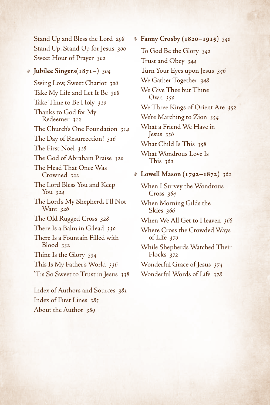Stand Up and Bless the Lord *298* Stand Up, Stand Up for Jesus *300* Sweet Hour of Prayer *302*

#### **Jubilee Singers(1871–)** *304*

Swing Low, Sweet Chariot *306* Take My Life and Let It Be *308* Take Time to Be Holy *310* Thanks to God for My Redeemer *312* The Church's One Foundation *314* The Day of Resurrection! *316* The First Noel *318* The God of Abraham Praise *320* The Head That Once Was Crowned *322* The Lord Bless You and Keep You *324* The Lord's My Shepherd, I'll Not Want *326* The Old Rugged Cross *328* There Is a Balm in Gilead *330* There Is a Fountain Filled with Blood *332* Thine Is the Glory *334* This Is My Father's World *336* 'Tis So Sweet to Trust in Jesus *338*

Index of Authors and Sources *381* Index of First Lines *385* About the Author *389*

**Fanny Crosby (1820–1915)** *340* To God Be the Glory *342* Trust and Obey *344* Turn Your Eyes upon Jesus *346* We Gather Together *348* We Give Thee but Thine Own *350* We Three Kings of Orient Are *352* We're Marching to Zion *354* What a Friend We Have in Jesus *356* What Child Is This *358* What Wondrous Love Is This *360*

### **Lowell Mason (1792–1872)** *362*

When I Survey the Wondrous Cross *364*

When Morning Gilds the Skies *366*

When We All Get to Heaven *368*

Where Cross the Crowded Ways of Life *370*

While Shepherds Watched Their Flocks *372*

Wonderful Grace of Jesus *374* Wonderful Words of Life *378*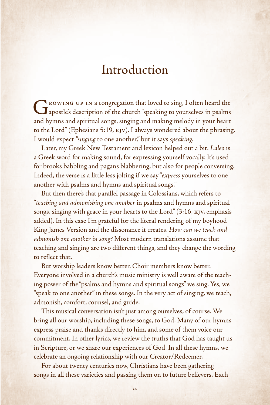### Introduction

<span id="page-7-0"></span>Growing up in a congregation that loved to sing, I often heard the apostle's description of the church "speaking to yourselves in psalms and hymns and spiritual songs, singing and making melody in your heart to the Lord" (Ephesians 5:19, kjv). I always wondered about the phrasing. I would expect *"singing* to one another," but it says *speaking*.

Later, my Greek New Testament and lexicon helped out a bit. *Laleo* is a Greek word for making sound, for expressing yourself vocally. It's used for brooks babbling and pagans blabbering, but also for people conversing. Indeed, the verse is a little less jolting if we say "*express* yourselves to one another with psalms and hymns and spiritual songs."

But then there's that parallel passage in Colossians, which refers to "*teaching and admonishing one another* in psalms and hymns and spiritual songs, singing with grace in your hearts to the Lord" (3:16, kjv, emphasis added). In this case I'm grateful for the literal rendering of my boyhood King James Version and the dissonance it creates. *How can we teach and admonish one another in song?* Most modern translations assume that teaching and singing are two different things, and they change the wording to reflect that.

But worship leaders know better. Choir members know better. Everyone involved in a church's music ministry is well aware of the teaching power of the "psalms and hymns and spiritual songs" we sing. Yes, we "speak to one another" in these songs. In the very act of singing, we teach, admonish, comfort, counsel, and guide.

This musical conversation isn't just among ourselves, of course. We bring all our worship, including these songs, to God. Many of our hymns express praise and thanks directly to him, and some of them voice our commitment. In other lyrics, we review the truths that God has taught us in Scripture, or we share our experiences of God. In all these hymns, we celebrate an ongoing relationship with our Creator/Redeemer.

For about twenty centuries now, Christians have been gathering songs in all these varieties and passing them on to future believers. Each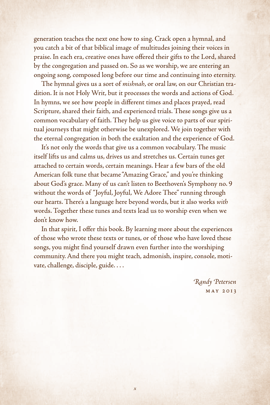generation teaches the next one how to sing. Crack open a hymnal, and you catch a bit of that biblical image of multitudes joining their voices in praise. In each era, creative ones have offered their gifts to the Lord, shared by the congregation and passed on. So as we worship, we are entering an ongoing song, composed long before our time and continuing into eternity.

The hymnal gives us a sort of *mishnah*, or oral law, on our Christian tradition. It is not Holy Writ, but it processes the words and actions of God. In hymns, we see how people in different times and places prayed, read Scripture, shared their faith, and experienced trials. These songs give us a common vocabulary of faith. They help us give voice to parts of our spiritual journeys that might otherwise be unexplored. We join together with the eternal congregation in both the exaltation and the experience of God.

It's not only the words that give us a common vocabulary. The music itself lifts us and calms us, drives us and stretches us. Certain tunes get attached to certain words, certain meanings. Hear a few bars of the old American folk tune that became "Amazing Grace," and you're thinking about God's grace. Many of us can't listen to Beethoven's Symphony no. 9 without the words of "Joyful, Joyful, We Adore Thee" running through our hearts. There's a language here beyond words, but it also works *with* words. Together these tunes and texts lead us to worship even when we don't know how.

In that spirit, I offer this book. By learning more about the experiences of those who wrote these texts or tunes, or of those who have loved these songs, you might find yourself drawn even further into the worshiping community. And there you might teach, admonish, inspire, console, motivate, challenge, disciple, guide. . . .

> *Randy Petersen* May 2013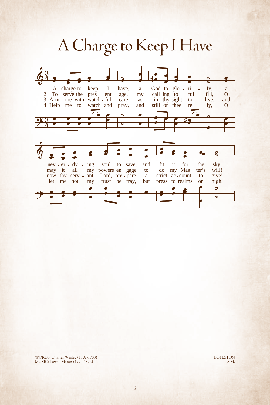<span id="page-9-0"></span>

MUSIC: Lowell Mason (1792-1872) WORDS: Charles Wesley (1707-1788) BOYLSTON

S.M.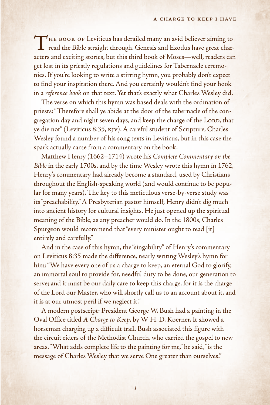THE BOOK OF Leviticus has derailed many an avid believer aiming to read the Bible straight through. Genesis and Exodus have great characters and exciting stories, but this third book of Moses—well, readers can get lost in its priestly regulations and guidelines for Tabernacle ceremonies. If you're looking to write a stirring hymn, you probably don't expect to find your inspiration there. And you certainly wouldn't find your hook in a *reference book* on that text. Yet that's exactly what Charles Wesley did.

The verse on which this hymn was based deals with the ordination of priests: "Therefore shall ye abide at the door of the tabernacle of the congregation day and night seven days, and keep the charge of the LORD, that ye die not" (Leviticus 8:35, kjv). A careful student of Scripture, Charles Wesley found a number of his song texts in Leviticus, but in this case the spark actually came from a commentary on the book.

Matthew Henry (1662–1714) wrote his *Complete Commentary on the Bible* in the early 1700s, and by the time Wesley wrote this hymn in 1762, Henry's commentary had already become a standard, used by Christians throughout the English-speaking world (and would continue to be popular for many years). The key to this meticulous verse-by-verse study was its "preachability." A Presbyterian pastor himself, Henry didn't dig much into ancient history for cultural insights. He just opened up the spiritual meaning of the Bible, as any preacher would do. In the 1800s, Charles Spurgeon would recommend that "every minister ought to read [it] entirely and carefully."

And in the case of this hymn, the "singability" of Henry's commentary on Leviticus 8:35 made the difference, nearly writing Wesley's hymn for him: "We have every one of us a charge to keep, an eternal God to glorify, an immortal soul to provide for, needful duty to be done, our generation to serve; and it must be our daily care to keep this charge, for it is the charge of the Lord our Master, who will shortly call us to an account about it, and it is at our utmost peril if we neglect it."

A modern postscript: President George W. Bush had a painting in the Oval Office titled *A Charge to Keep*, by W. H. D. Koerner. It showed a horseman charging up a difficult trail. Bush associated this figure with the circuit riders of the Methodist Church, who carried the gospel to new areas. "What adds complete life to the painting for me," he said, "is the message of Charles Wesley that we serve One greater than ourselves."

*3*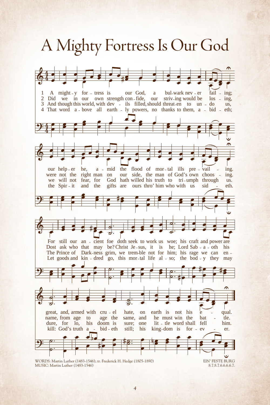# <span id="page-11-0"></span>A Mighty Fortress Is Our God A Mighty Fortress Is Our God

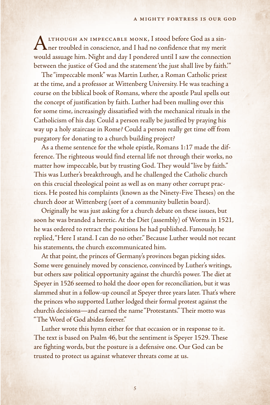ALTHOUGH AN IMPECCABLE MONK, I stood before God as a sin-<br>ner troubled in conscience, and I had no confidence that my merit would assuage him. Night and day I pondered until I saw the connection between the justice of God and the statement 'the just shall live by faith.'"

The "impeccable monk" was Martin Luther, a Roman Catholic priest at the time, and a professor at Wittenberg University. He was teaching a course on the biblical book of Romans, where the apostle Paul spells out the concept of justification by faith. Luther had been mulling over this for some time, increasingly dissatisfied with the mechanical rituals in the Catholicism of his day. Could a person really be justified by praying his way up a holy staircase in Rome? Could a person really get time off from purgatory for donating to a church building project?

As a theme sentence for the whole epistle, Romans 1:17 made the difference. The righteous would find eternal life not through their works, no matter how impeccable, but by trusting God. They would "live by faith." This was Luther's breakthrough, and he challenged the Catholic church on this crucial theological point as well as on many other corrupt practices. He posted his complaints (known as the Ninety-Five Theses) on the church door at Wittenberg (sort of a community bulletin board).

Originally he was just asking for a church debate on these issues, but soon he was branded a heretic. At the Diet (assembly) of Worms in 1521, he was ordered to retract the positions he had published. Famously, he replied, "Here I stand. I can do no other." Because Luther would not recant his statements, the church excommunicated him.

At that point, the princes of Germany's provinces began picking sides. Some were genuinely moved by conscience, convinced by Luther's writings, but others saw political opportunity against the church's power. The diet at Speyer in 1526 seemed to hold the door open for reconciliation, but it was slammed shut in a follow-up council at Speyer three years later. That's where the princes who supported Luther lodged their formal protest against the church's decisions—and earned the name "Protestants." Their motto was "The Word of God abides forever."

Luther wrote this hymn either for that occasion or in response to it. The text is based on Psalm 46, but the sentiment is Speyer 1529. These are fighting words, but the posture is a defensive one. Our God can be trusted to protect us against whatever threats come at us.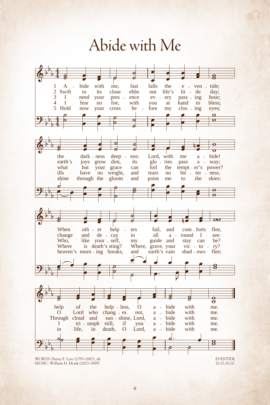# Abide with Me Abide with Me

<span id="page-13-0"></span>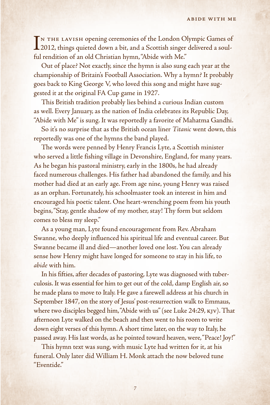IN THE LAVISH opening ceremonies of the London Olympic Games of<br>2012, things quieted down a bit, and a Scottish singer delivered a soul-2012, things quieted down a bit, and a Scottish singer delivered a soulful rendition of an old Christian hymn, "Abide with Me."

Out of place? Not exactly, since the hymn is also sung each year at the championship of Britain's Football Association. Why a hymn? It probably goes back to King George V, who loved this song and might have suggested it at the original FA Cup game in 1927.

This British tradition probably lies behind a curious Indian custom as well. Every January, as the nation of India celebrates its Republic Day, "Abide with Me" is sung. It was reportedly a favorite of Mahatma Gandhi.

So it's no surprise that as the British ocean liner *Titanic* went down, this reportedly was one of the hymns the band played.

The words were penned by Henry Francis Lyte, a Scottish minister who served a little fishing village in Devonshire, England, for many years. As he began his pastoral ministry, early in the 1800s, he had already faced numerous challenges. His father had abandoned the family, and his mother had died at an early age. From age nine, young Henry was raised as an orphan. Fortunately, his schoolmaster took an interest in him and encouraged his poetic talent. One heart-wrenching poem from his youth begins, "Stay, gentle shadow of my mother, stay! Thy form but seldom comes to bless my sleep."

As a young man, Lyte found encouragement from Rev. Abraham Swanne, who deeply influenced his spiritual life and eventual career. But Swanne became ill and died—another loved one lost. You can already sense how Henry might have longed for someone to stay in his life, to *abide* with him.

In his fifties, after decades of pastoring, Lyte was diagnosed with tuberculosis. It was essential for him to get out of the cold, damp English air, so he made plans to move to Italy. He gave a farewell address at his church in September 1847, on the story of Jesus' post-resurrection walk to Emmaus, where two disciples begged him, "Abide with us" (see Luke 24:29, KJV). That afternoon Lyte walked on the beach and then went to his room to write down eight verses of this hymn. A short time later, on the way to Italy, he passed away. His last words, as he pointed toward heaven, were, "Peace! Joy!"

This hymn text was sung, with music Lyte had written for it, at his funeral. Only later did William H. Monk attach the now beloved tune "Eventide."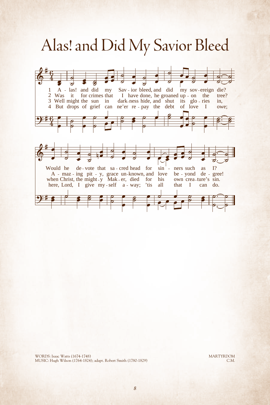# <span id="page-15-0"></span>Alas! and Did My Savior Bleed Alas! and Did My Savior Bleed



MUSIC: Hugh Wilson (1764-1824); adapt. Robert Smith (1780-1829) WORDS: Isaac Watts (1674-1748) MARTYRDOM

C.M.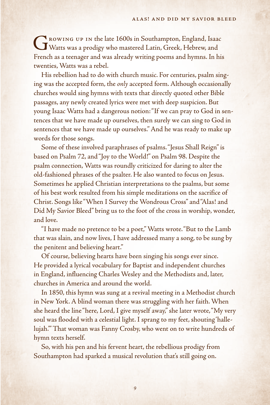Growing up in the late 1600s in Southampton, England, Isaac Watts was a prodigy who mastered Latin, Greek, Hebrew, and French as a teenager and was already writing poems and hymns. In his twenties, Watts was a rebel.

His rebellion had to do with church music. For centuries, psalm singing was the accepted form, the *only* accepted form. Although occasionally churches would sing hymns with texts that directly quoted other Bible passages, any newly created lyrics were met with deep suspicion. But young Isaac Watts had a dangerous notion: "If we can pray to God in sentences that we have made up ourselves, then surely we can sing to God in sentences that we have made up ourselves." And he was ready to make up words for those songs.

Some of these involved paraphrases of psalms. "Jesus Shall Reign" is based on Psalm 72, and "Joy to the World!" on Psalm 98. Despite the psalm connection, Watts was roundly criticized for daring to alter the old-fashioned phrases of the psalter. He also wanted to focus on Jesus. Sometimes he applied Christian interpretations to the psalms, but some of his best work resulted from his simple meditations on the sacrifice of Christ. Songs like "When I Survey the Wondrous Cross" and "Alas! and Did My Savior Bleed" bring us to the foot of the cross in worship, wonder, and love.

"I have made no pretence to be a poet," Watts wrote. "But to the Lamb that was slain, and now lives, I have addressed many a song, to be sung by the penitent and believing heart."

Of course, believing hearts have been singing his songs ever since. He provided a lyrical vocabulary for Baptist and independent churches in England, influencing Charles Wesley and the Methodists and, later, churches in America and around the world.

In 1850, this hymn was sung at a revival meeting in a Methodist church in New York. A blind woman there was struggling with her faith. When she heard the line "here, Lord, I give myself away," she later wrote, "My very soul was flooded with a celestial light. I sprang to my feet, shouting 'hallelujah.'" That woman was Fanny Crosby, who went on to write hundreds of hymn texts herself.

So, with his pen and his fervent heart, the rebellious prodigy from Southampton had sparked a musical revolution that's still going on.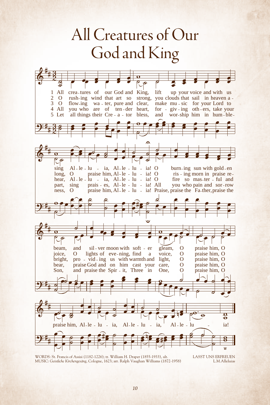## <span id="page-17-0"></span>God and King All Creatures of Our

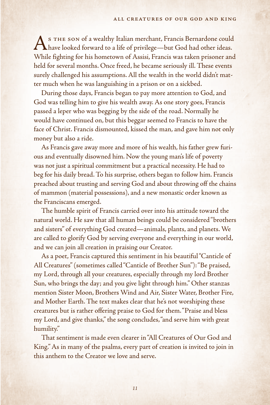As THE SON of a wealthy Italian merchant, Francis Bernardone could<br>have looked forward to a life of privilege—but God had other ideas. While fighting for his hometown of Assisi, Francis was taken prisoner and held for several months. Once freed, he became seriously ill. These events surely challenged his assumptions. All the wealth in the world didn't matter much when he was languishing in a prison or on a sickbed.

During those days, Francis began to pay more attention to God, and God was telling him to give his wealth away. As one story goes, Francis passed a leper who was begging by the side of the road. Normally he would have continued on, but this beggar seemed to Francis to have the face of Christ. Francis dismounted, kissed the man, and gave him not only money but also a ride.

As Francis gave away more and more of his wealth, his father grew furious and eventually disowned him. Now the young man's life of poverty was not just a spiritual commitment but a practical necessity. He had to beg for his daily bread. To his surprise, others began to follow him. Francis preached about trusting and serving God and about throwing off the chains of mammon (material possessions), and a new monastic order known as the Franciscans emerged.

The humble spirit of Francis carried over into his attitude toward the natural world. He saw that all human beings could be considered "brothers and sisters" of everything God created—animals, plants, and planets. We are called to glorify God by serving everyone and everything in our world, and we can join all creation in praising our Creator.

As a poet, Francis captured this sentiment in his beautiful "Canticle of All Creatures" (sometimes called "Canticle of Brother Sun"): "Be praised, my Lord, through all your creatures, especially through my lord Brother Sun, who brings the day; and you give light through him." Other stanzas mention Sister Moon, Brothers Wind and Air, Sister Water, Brother Fire, and Mother Earth. The text makes clear that he's not worshiping these creatures but is rather offering praise to God for them. "Praise and bless my Lord, and give thanks," the song concludes, "and serve him with great humility."

That sentiment is made even clearer in "All Creatures of Our God and King." As in many of the psalms, every part of creation is invited to join in this anthem to the Creator we love and serve.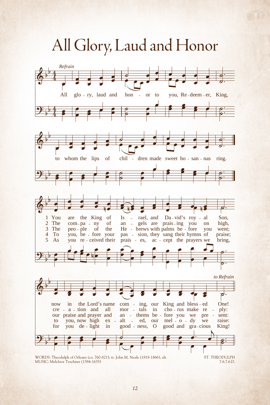All Glory, Laud and Honor All Glory, Laud and Honor

<span id="page-19-0"></span>

*12*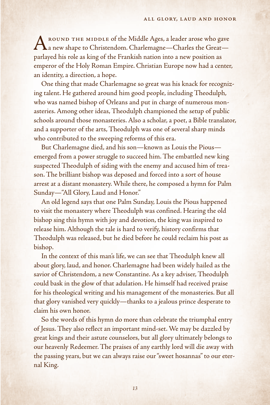AROUND THE MIDDLE of the Middle Ages, a leader arose who gave<br>
a new shape to Christendom. Charlemagne—Charles the Great parlayed his role as king of the Frankish nation into a new position as emperor of the Holy Roman Empire. Christian Europe now had a center, an identity, a direction, a hope.

One thing that made Charlemagne so great was his knack for recognizing talent. He gathered around him good people, including Theodulph, who was named bishop of Orleans and put in charge of numerous monasteries. Among other ideas, Theodulph championed the setup of public schools around those monasteries. Also a scholar, a poet, a Bible translator, and a supporter of the arts, Theodulph was one of several sharp minds who contributed to the sweeping reforms of this era.

But Charlemagne died, and his son—known as Louis the Pious emerged from a power struggle to succeed him. The embattled new king suspected Theodulph of siding with the enemy and accused him of treason. The brilliant bishop was deposed and forced into a sort of house arrest at a distant monastery. While there, he composed a hymn for Palm Sunday—"All Glory, Laud and Honor."

An old legend says that one Palm Sunday, Louis the Pious happened to visit the monastery where Theodulph was confined. Hearing the old bishop sing this hymn with joy and devotion, the king was inspired to release him. Although the tale is hard to verify, history confirms that Theodulph was released, but he died before he could reclaim his post as bishop.

In the context of this man's life, we can see that Theodulph knew all about glory, laud, and honor. Charlemagne had been widely hailed as the savior of Christendom, a new Constantine. As a key adviser, Theodulph could bask in the glow of that adulation. He himself had received praise for his theological writing and his management of the monasteries. But all that glory vanished very quickly—thanks to a jealous prince desperate to claim his own honor.

So the words of this hymn do more than celebrate the triumphal entry of Jesus. They also reflect an important mind-set. We may be dazzled by great kings and their astute counselors, but all glory ultimately belongs to our heavenly Redeemer. The praises of any earthly lord will die away with the passing years, but we can always raise our "sweet hosannas" to our eternal King.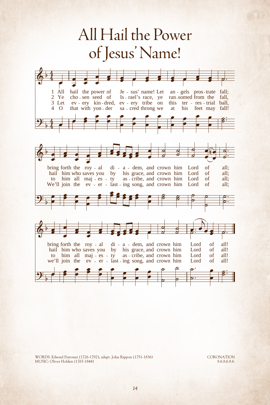<span id="page-21-0"></span>

MUSIC: Oliver Holden (1765-1844) WORDS: Edward Perronet (1726-1792); adapt. John Rippon (1751-1836) CORONATION

8.6.8.6.8.6.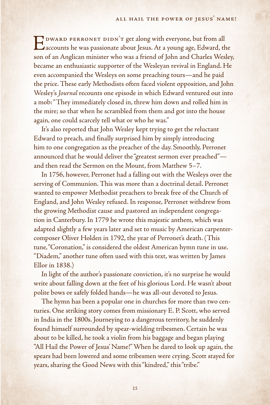EDWARD PERRONET DIDN'T get along with everyone, but from all<br>accounts he was passionate about Jesus. At a young age, Edward, the son of an Anglican minister who was a friend of John and Charles Wesley, became an enthusiastic supporter of the Wesleyan revival in England. He even accompanied the Wesleys on some preaching tours—and he paid the price. These early Methodists often faced violent opposition, and John Wesley's *Journal* recounts one episode in which Edward ventured out into a mob: "They immediately closed in, threw him down and rolled him in the mire; so that when he scrambled from them and got into the house again, one could scarcely tell what or who he was."

It's also reported that John Wesley kept trying to get the reluctant Edward to preach, and finally surprised him by simply introducing him to one congregation as the preacher of the day. Smoothly, Perronet announced that he would deliver the "greatest sermon ever preached" and then read the Sermon on the Mount, from Matthew 5–7.

In 1756, however, Perronet had a falling out with the Wesleys over the serving of Communion. This was more than a doctrinal detail. Perronet wanted to empower Methodist preachers to break free of the Church of England, and John Wesley refused. In response, Perronet withdrew from the growing Methodist cause and pastored an independent congregation in Canterbury. In 1779 he wrote this majestic anthem, which was adapted slightly a few years later and set to music by American carpentercomposer Oliver Holden in 1792, the year of Perronet's death. (This tune, "Coronation," is considered the oldest American hymn tune in use. "Diadem," another tune often used with this text, was written by James Ellor in 1838.)

In light of the author's passionate conviction, it's no surprise he would write about falling down at the feet of his glorious Lord. He wasn't about polite bows or safely folded hands—he was all-out devoted to Jesus.

The hymn has been a popular one in churches for more than two centuries. One striking story comes from missionary E. P. Scott, who served in India in the 1800s. Journeying to a dangerous territory, he suddenly found himself surrounded by spear-wielding tribesmen. Certain he was about to be killed, he took a violin from his baggage and began playing "All Hail the Power of Jesus' Name!" When he dared to look up again, the spears had been lowered and some tribesmen were crying. Scott stayed for years, sharing the Good News with this "kindred," this "tribe."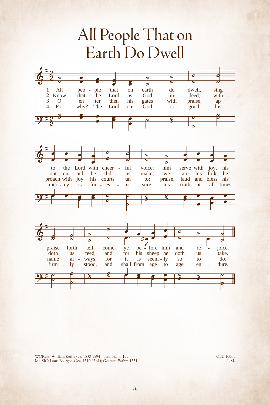# <span id="page-23-0"></span>Earth Do Dwell All People That on







MUSIC: Louis Bourgeois (ca. 1510-1561); *Genevan Psalter*, 1551 WORDS: William Kethe (ca. 1530-1594); para. Psalm 100 OLD 100th OLD 100th

L.M.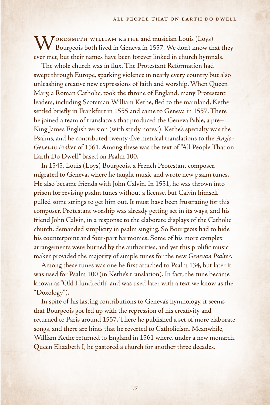$\bf W$ ORDSMITH WILLIAM KETHE and musician Louis (Loys) Bourgeois both lived in Geneva in 1557. We don't know that they ever met, but their names have been forever linked in church hymnals.

The whole church was in flux. The Protestant Reformation had swept through Europe, sparking violence in nearly every country but also unleashing creative new expressions of faith and worship. When Queen Mary, a Roman Catholic, took the throne of England, many Protestant leaders, including Scotsman William Kethe, fled to the mainland. Kethe settled briefly in Frankfurt in 1555 and came to Geneva in 1557. There he joined a team of translators that produced the Geneva Bible, a pre– King James English version (with study notes!). Kethe's specialty was the Psalms, and he contributed twenty-five metrical translations to the *Anglo-Genevan Psalter* of 1561. Among these was the text of "All People That on Earth Do Dwell," based on Psalm 100.

In 1545, Louis (Loys) Bourgeois, a French Protestant composer, migrated to Geneva, where he taught music and wrote new psalm tunes. He also became friends with John Calvin. In 1551, he was thrown into prison for revising psalm tunes without a license, but Calvin himself pulled some strings to get him out. It must have been frustrating for this composer. Protestant worship was already getting set in its ways, and his friend John Calvin, in a response to the elaborate displays of the Catholic church, demanded simplicity in psalm singing. So Bourgeois had to hide his counterpoint and four-part harmonies. Some of his more complex arrangements were burned by the authorities, and yet this prolific music maker provided the majority of simple tunes for the new *Genevan Psalter*.

Among these tunes was one he first attached to Psalm 134, but later it was used for Psalm 100 (in Kethe's translation). In fact, the tune became known as "Old Hundredth" and was used later with a text we know as the "Doxology").

In spite of his lasting contributions to Geneva's hymnology, it seems that Bourgeois got fed up with the repression of his creativity and returned to Paris around 1557. There he published a set of more elaborate songs, and there are hints that he reverted to Catholicism. Meanwhile, William Kethe returned to England in 1561 where, under a new monarch, Queen Elizabeth I, he pastored a church for another three decades.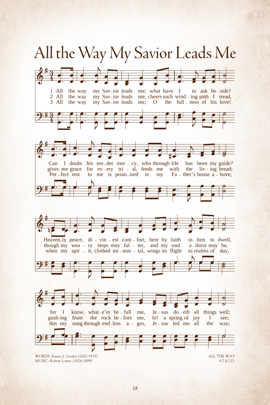<span id="page-25-0"></span>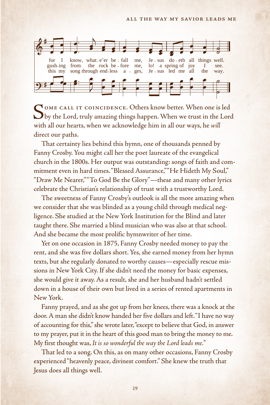

SOME CALL IT COINCIDENCE. Others know better. When one is led<br>by the Lord, truly amazing things happen. When we trust in the Lord with all our hearts, when we acknowledge him in all our ways, he *will* direct our paths.

That certainty lies behind this hymn, one of thousands penned by Fanny Crosby. You might call her the poet laureate of the evangelical church in the 1800s. Her output was outstanding: songs of faith and commitment even in hard times. "Blessed Assurance," "He Hideth My Soul," "Draw Me Nearer," "To God Be the Glory"—these and many other lyrics celebrate the Christian's relationship of trust with a trustworthy Lord.

The sweetness of Fanny Crosby's outlook is all the more amazing when we consider that she was blinded as a young child through medical negligence. She studied at the New York Institution for the Blind and later taught there. She married a blind musician who was also at that school. And she became the most prolific hymnwriter of her time.

Yet on one occasion in 1875, Fanny Crosby needed money to pay the rent, and she was five dollars short. Yes, she earned money from her hymn texts, but she regularly donated to worthy causes—especially rescue missions in New York City. If she didn't need the money for basic expenses, she would give it away. As a result, she and her husband hadn't settled down in a house of their own but lived in a series of rented apartments in New York.

Fanny prayed, and as she got up from her knees, there was a knock at the door. A man she didn't know handed her five dollars and left. "I have no way of accounting for this," she wrote later, "except to believe that God, in answer to my prayer, put it in the heart of this good man to bring the money to me. My first thought was, *It is so wonderful the way the Lord leads me.*"

That led to a song. On this, as on many other occasions, Fanny Crosby experienced "heavenly peace, divinest comfort." She knew the truth that Jesus does all things well.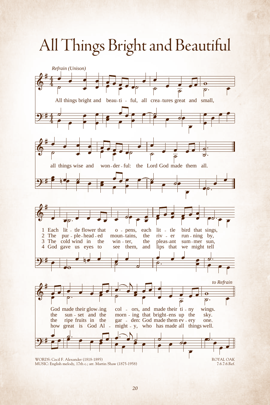## <span id="page-27-0"></span>All Things Bright and Beautiful